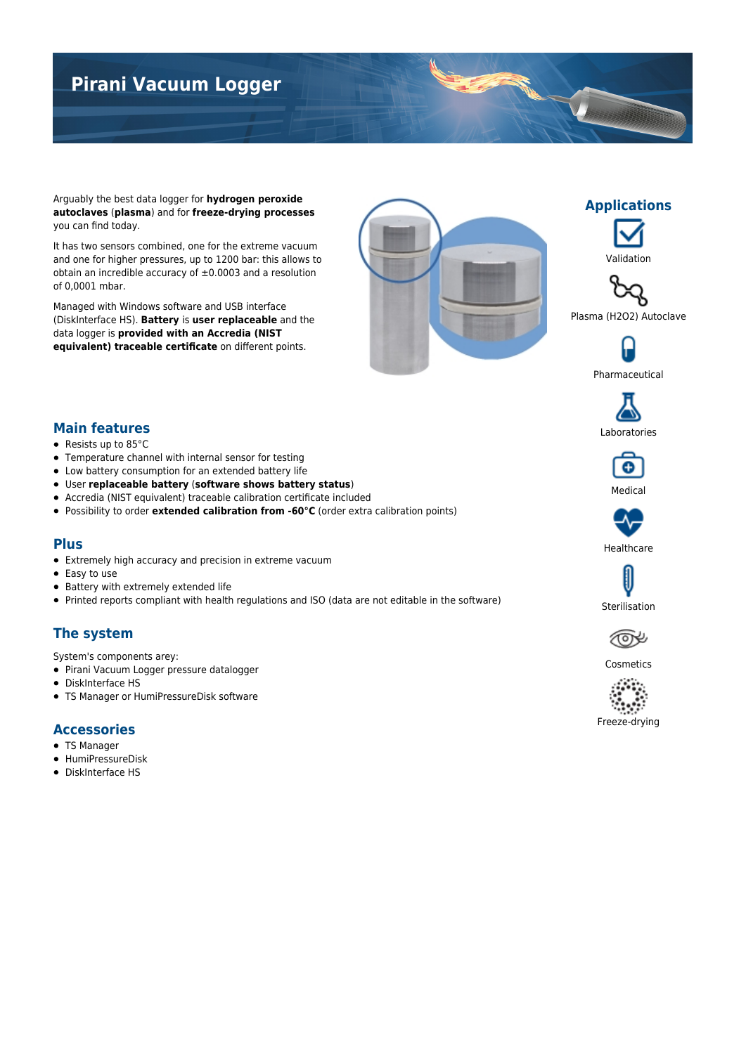# **Pirani Vacuum Logger**

Arguably the best data logger for **hydrogen peroxide autoclaves** (**plasma**) and for **freeze-drying processes** you can find today.

It has two sensors combined, one for the extreme vacuum and one for higher pressures, up to 1200 bar: this allows to obtain an incredible accuracy of  $\pm 0.0003$  and a resolution of 0,0001 mbar.

Managed with Windows software and USB interface (DiskInterface HS). **Battery** is **user replaceable** and the data logger is **provided with an Accredia (NIST equivalent) traceable certificate** on different points.





**Applications**

TOWER





Pharmaceutical



#### **Main features**

- Resists up to 85°C
- Temperature channel with internal sensor for testing
- Low battery consumption for an extended battery life
- User **replaceable battery** (**software shows battery status**)
- Accredia (NIST equivalent) traceable calibration certificate included
- Possibility to order **extended calibration from -60°C** (order extra calibration points)

#### **Plus**

- Extremely high accuracy and precision in extreme vacuum
- Easy to use
- Battery with extremely extended life
- Printed reports compliant with health regulations and ISO (data are not editable in the software)

### **The system**

- System's components arey:
- Pirani Vacuum Logger pressure datalogger
- DiskInterface HS
- TS Manager or HumiPressureDisk software

#### **Accessories**

- TS Manager
- HumiPressureDisk
- DiskInterface HS